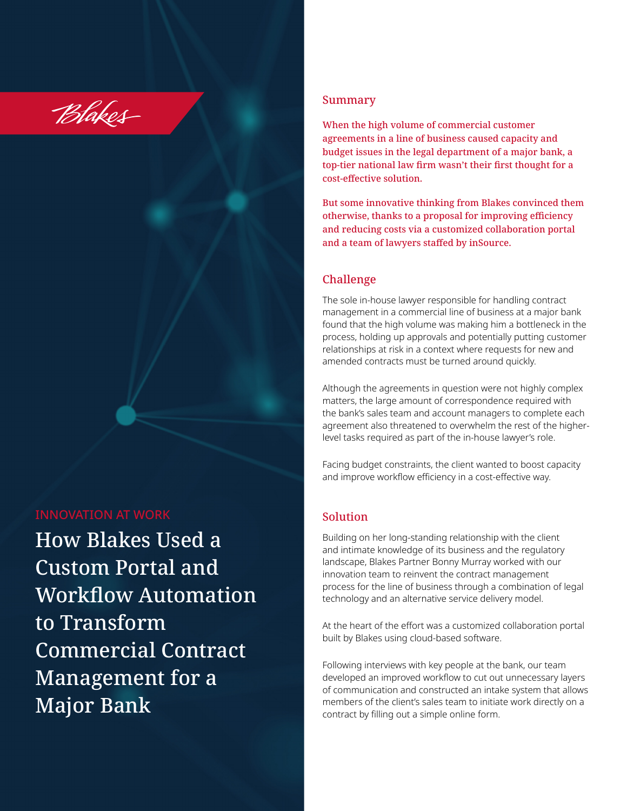

#### INNOVATION AT WORK

How Blakes Used a Custom Portal and Workflow Automation to Transform Commercial Contract Management for a Major Bank

### Summary

When the high volume of commercial customer agreements in a line of business caused capacity and budget issues in the legal department of a major bank, a top-tier national law firm wasn't their first thought for a cost-effective solution.

But some innovative thinking from Blakes convinced them otherwise, thanks to a proposal for improving efficiency and reducing costs via a customized collaboration portal and a team of lawyers staffed by inSource.

#### Challenge

The sole in-house lawyer responsible for handling contract management in a commercial line of business at a major bank found that the high volume was making him a bottleneck in the process, holding up approvals and potentially putting customer relationships at risk in a context where requests for new and amended contracts must be turned around quickly.

Although the agreements in question were not highly complex matters, the large amount of correspondence required with the bank's sales team and account managers to complete each agreement also threatened to overwhelm the rest of the higherlevel tasks required as part of the in-house lawyer's role.

Facing budget constraints, the client wanted to boost capacity and improve workflow efficiency in a cost-effective way.

#### Solution

Building on her long-standing relationship with the client and intimate knowledge of its business and the regulatory landscape, Blakes Partner Bonny Murray worked with our innovation team to reinvent the contract management process for the line of business through a combination of legal technology and an alternative service delivery model.

At the heart of the effort was a customized collaboration portal built by Blakes using cloud-based software.

Following interviews with key people at the bank, our team developed an improved workflow to cut out unnecessary layers of communication and constructed an intake system that allows members of the client's sales team to initiate work directly on a contract by filling out a simple online form.